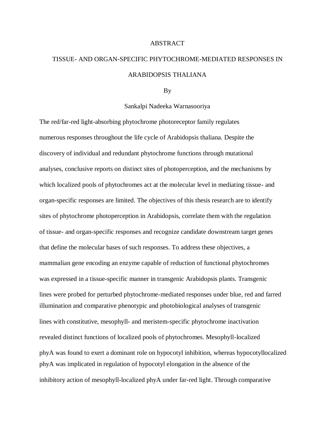## **ABSTRACT**

## TISSUE- AND ORGAN-SPECIFIC PHYTOCHROME-MEDIATED RESPONSES IN ARABIDOPSIS THALIANA

## By

## Sankalpi Nadeeka Warnasooriya

The red/far-red light-absorbing phytochrome photoreceptor family regulates numerous responses throughout the life cycle of Arabidopsis thaliana. Despite the discovery of individual and redundant phytochrome functions through mutational analyses, conclusive reports on distinct sites of photoperception, and the mechanisms by which localized pools of phytochromes act at the molecular level in mediating tissue- and organ-specific responses are limited. The objectives of this thesis research are to identify sites of phytochrome photoperception in Arabidopsis, correlate them with the regulation of tissue- and organ-specific responses and recognize candidate downstream target genes that define the molecular bases of such responses. To address these objectives, a mammalian gene encoding an enzyme capable of reduction of functional phytochromes was expressed in a tissue-specific manner in transgenic Arabidopsis plants. Transgenic lines were probed for perturbed phytochrome-mediated responses under blue, red and farred illumination and comparative phenotypic and photobiological analyses of transgenic lines with constitutive, mesophyll- and meristem-specific phytochrome inactivation revealed distinct functions of localized pools of phytochromes. Mesophyll-localized phyA was found to exert a dominant role on hypocotyl inhibition, whereas hypocotyllocalized phyA was implicated in regulation of hypocotyl elongation in the absence of the inhibitory action of mesophyll-localized phyA under far-red light. Through comparative